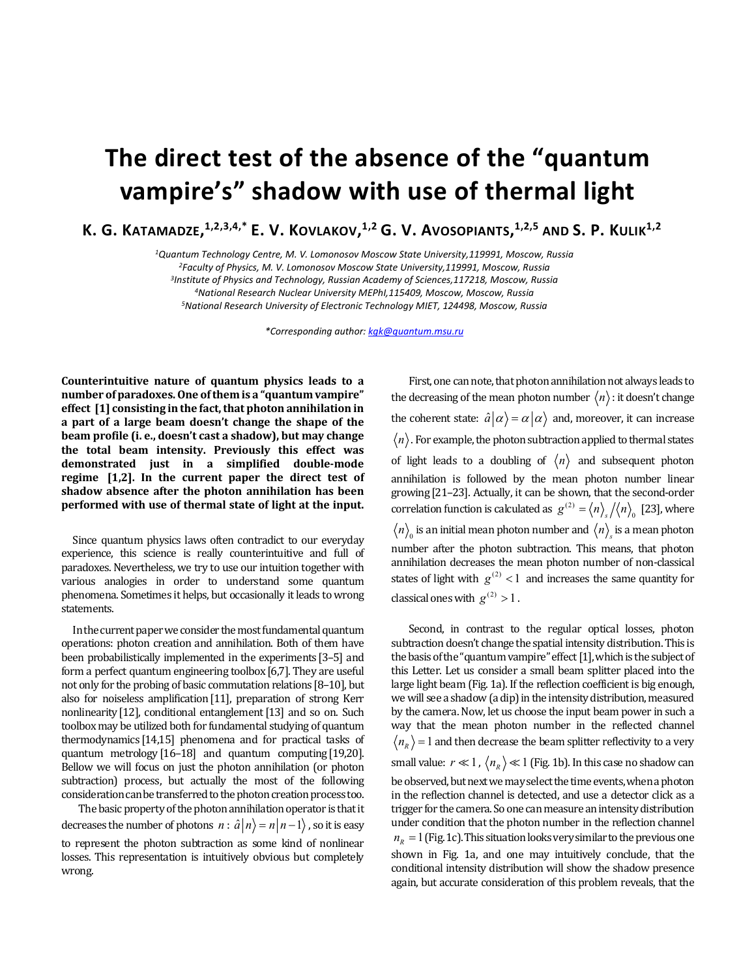## **The direct test of the absence of the "quantum vampire's" shadow with use of thermal light**

**K. G. KATAMADZE, 1,2,3,4,\* E. V. KOVLAKOV, 1,2 G. V. AVOSOPIANTS, 1,2,5 AND S. P. KULIK1,2**

*1Quantum Technology Centre, M. V. Lomonosov Moscow State University,119991, Moscow, Russia 2Faculty of Physics, M. V. Lomonosov Moscow State University,119991, Moscow, Russia 3Institute of Physics and Technology, Russian Academy of Sciences,117218, Moscow, Russia 4National Research Nuclear University MEPhI,115409, Moscow, Moscow, Russia 5National Research University of Electronic Technology MIET, 124498, Moscow, Russia*

*\*Corresponding author: kgk@quantum.msu.ru*

**Counterintuitive nature of quantum physics leads to a number of paradoxes. One of them is a "quantum vampire" effect [1] consisting in the fact, that photon annihilation in a part of a large beam doesn't change the shape of the beam profile (i. e., doesn't cast a shadow), but may change the total beam intensity. Previously this effect was demonstrated just in a simplified double-mode regime [1,2]. In the current paper the direct test of shadow absence after the photon annihilation has been performed with use of thermal state of light at the input.**

Since quantum physics laws often contradict to our everyday experience, this science is really counterintuitive and full of paradoxes. Nevertheless, we try to use our intuition together with various analogies in order to understand some quantum phenomena. Sometimes it helps, but occasionally it leads to wrong statements.

In the current paper we consider the most fundamental quantum operations: photon creation and annihilation. Both of them have been probabilistically implemented in the experiments [3–5] and form a perfect quantum engineering toolbox [6,7]. They are useful not only for the probing of basic commutation relations [8–10], but also for noiseless amplification[11], preparation of strong Kerr nonlinearity [12], conditional entanglement [13] and so on. Such toolbox may be utilized both for fundamental studying of quantum thermodynamics [14,15] phenomena and for practical tasks of quantum metrology [16–18] and quantum computing [19,20]. Bellow we will focus on just the photon annihilation (or photon subtraction) process, but actually the most of the following consideration can be transferred to the photon creation process too.

The basic property of the photon annihilation operator is that it decreases the number of photons  $n : \hat{a} | n \rangle = n | n - 1 \rangle$ , so it is easy to represent the photon subtraction as some kind of nonlinear losses. This representation is intuitively obvious but completely wrong.

First, one can note, that photon annihilation not always leads to the decreasing of the mean photon number  $\langle n \rangle$ : it doesn't change the coherent state:  $\hat{a}|\alpha\rangle = \alpha|\alpha\rangle$  and, moreover, it can increase  $\langle n \rangle$ . For example, the photon subtraction applied to thermal states of light leads to a doubling of  $\langle n \rangle$  and subsequent photon annihilation is followed by the mean photon number linear growing [21–23]. Actually, it can be shown, that the second-order correlation function is calculated as  $g^{(2)} = \langle n \rangle_s / \langle n \rangle_0$  [23], where  $\langle n \rangle$  is an initial mean photon number and  $\langle n \rangle$  is a mean photon number after the photon subtraction. This means, that photon annihilation decreases the mean photon number of non-classical states of light with  $g^{(2)}$  < 1 and increases the same quantity for classical ones with  $g^{(2)} > 1$ .

Second, in contrast to the regular optical losses, photon subtraction doesn't change the spatial intensity distribution. This is the basis of the "quantum vampire" effect  $[1]$ , which is the subject of this Letter. Let us consider a small beam splitter placed into the large light beam (Fig. 1а). If the reflection coefficient is big enough, we will see a shadow (a dip) in the intensity distribution, measured by the camera. Now, let us choose the input beam power in such a way that the mean photon number in the reflected channel  $\langle n_{R} \rangle$  = 1 and then decrease the beam splitter reflectivity to a very small value:  $r \ll 1$ ,  $\langle n_R \rangle \ll 1$  (Fig. 1b). In this case no shadow can be observed, but next we may select the time events, when a photon in the reflection channel is detected, and use a detector click as a trigger for the camera. So one can measure an intensity distribution under condition that the photon number in the reflection channel  $n<sub>n</sub> = 1$  (Fig. 1c). This situation looks very similar to the previous one shown in Fig. 1a, and one may intuitively conclude, that the conditional intensity distribution will show the shadow presence again, but accurate consideration of this problem reveals, that the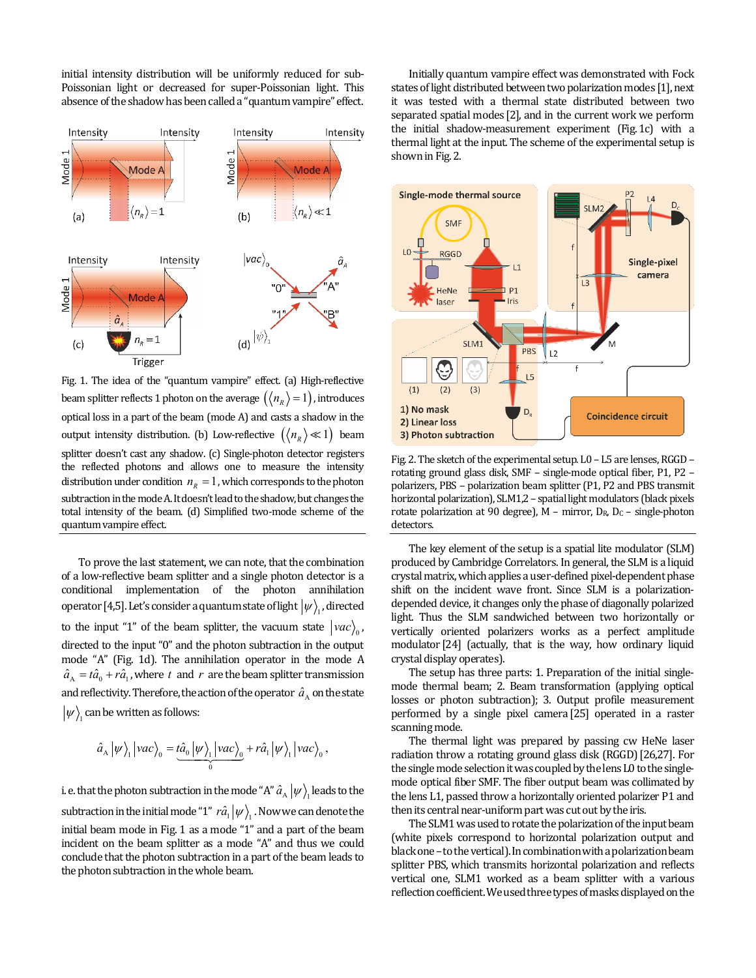initial intensity distribution will be uniformly reduced for sub-Poissonian light or decreased for super-Poissonian light. This absence of the shadow has been called a "quantum vampire" effect.



Fig. 1. The idea of the "quantum vampire" effect. (a) High-reflective beam splitter reflects 1 photon on the average  $(\langle n_R \rangle = 1)$ , introduces optical loss in a part of the beam (mode A) and casts a shadow in the output intensity distribution. (b) Low-reflective  $(\langle n_{R} \rangle \ll 1)$  beam splitter doesn't cast any shadow. (c) Single-photon detector registers the reflected photons and allows one to measure the intensity distribution under condition  $n_R = 1$ , which corresponds to the photon subtraction in the mode A. It doesn't lead to the shadow, but changes the total intensity of the beam. (d) Simplified two-mode scheme of the quantum vampire effect.

To prove the last statement, we can note, that the combination of a low-reflective beam splitter and a single photon detector is a conditional implementation of the photon annihilation operator [4,5]. Let's consider a quantum state of light  $|\psi\rangle$ , directed to the input "1" of the beam splitter, the vacuum state  $|vac\rangle$ <sub>0</sub>, directed to the input "0" and the photon subtraction in the output mode "A" (Fig. 1d). The annihilation operator in the mode A  $\hat{a}_{A} = t\hat{a}_{0} + r\hat{a}_{1}$ , where *t* and *r* are the beam splitter transmission and reflectivity. Therefore, the action of the operator  $\hat{a}_{A}$  on the state  $|\psi\rangle$  can be written as follows:

$$
\hat{a}_{A}|\psi\rangle_{1}|vac\rangle_{0} = \underbrace{\hbar \hat{a}_{0}|\psi\rangle_{1}|vac\rangle_{0}}_{0} + r\hat{a}_{1}|\psi\rangle_{1}|vac\rangle_{0},
$$

i. e. that the photon subtraction in the mode "A"  $\hat{a}_{A}$   $|\psi\rangle$ , leads to the subtraction in the initial mode "1"  $r\hat{a}_1 |\psi\rangle$ . Now we can denote the initial beam mode in Fig. 1 as a mode "1" and a part of the beam incident on the beam splitter as a mode "A" and thus we could conclude that the photon subtraction in a part of the beam leads to the photon subtraction in the whole beam.

Initially quantum vampire effect was demonstrated with Fock states of light distributed between two polarization modes [1], next it was tested with a thermal state distributed between two separated spatial modes [2], and in the current work we perform the initial shadow-measurement experiment (Fig.1c) with a thermal light at the input. The scheme of the experimental setup is shown in Fig.2.



Fig. 2. The sketch of the experimental setup. L0 - L5 are lenses, RGGD rotating ground glass disk, SMF – single-mode optical fiber, P1, P2 – polarizers, PBS – polarization beam splitter (P1, P2 and PBS transmit horizontal polarization), SLM1,2 – spatial light modulators (black pixels rotate polarization at 90 degree),  $M -$  mirror,  $D_R$ ,  $D_C -$  single-photon detectors.

The key element of the setup is a spatial lite modulator (SLM) produced by Cambridge Correlators. In general, the SLM is a liquid crystal matrix, which applies a user-defined pixel-dependent phase shift on the incident wave front. Since SLM is a polarizationdepended device, it changes only the phase of diagonally polarized light. Thus the SLM sandwiched between two horizontally or vertically oriented polarizers works as a perfect amplitude modulator [24] (actually, that is the way, how ordinary liquid crystal display operates).

The setup has three parts: 1. Preparation of the initial singlemode thermal beam; 2. Beam transformation (applying optical losses or photon subtraction); 3. Output profile measurement performed by a single pixel camera [25] operated in a raster scanning mode.

The thermal light was prepared by passing cw HeNe laser radiation throw a rotating ground glass disk (RGGD)[26,27]. For the single mode selection it was coupled by the lens L0 to the singlemode optical fiber SMF. The fiber output beam was collimated by the lens L1, passed throw a horizontally oriented polarizer P1 and then its central near-uniform part was cut out by the iris.

The SLM1 was used to rotate the polarization of the input beam (white pixels correspond to horizontal polarization output and black one – to the vertical). In combination with a polarization beam splitter PBS, which transmits horizontal polarization and reflects vertical one, SLM1 worked as a beam splitter with a various reflection coefficient. We used three types of masks displayed on the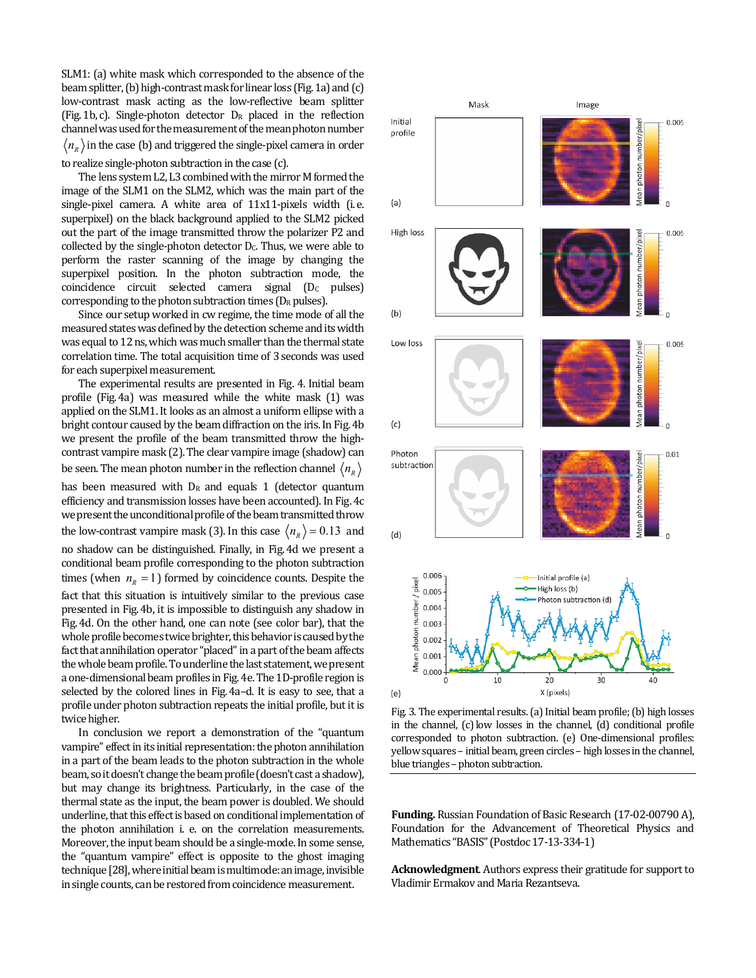SLM1: (a) white mask which corresponded to the absence of the beam splitter, (b) high-contrast mask for linear loss (Fig. 1a) and (c) low-contrast mask acting as the low-reflective beam splitter (Fig.1b, c). Single-photon detector DR placed in the reflection channel was used for the measurement of the mean photon number  $\langle n_{R} \rangle$  in the case (b) and triggered the single-pixel camera in order

to realize single-photon subtraction in the case (c).

The lens system L2, L3 combined with the mirror M formed the image of the SLM1 on the SLM2, which was the main part of the single-pixel camera. A white area of 11x11-pixels width (i. e. superpixel) on the black background applied to the SLM2 picked out the part of the image transmitted throw the polarizer P2 and collected by the single-photon detector  $D<sub>c</sub>$ . Thus, we were able to perform the raster scanning of the image by changing the superpixel position. In the photon subtraction mode, the coincidence circuit selected camera signal (D<sub>C</sub> pulses) corresponding to the photon subtraction times ( $D_R$  pulses).

Since our setup worked in cw regime, the time mode of all the measured states was defined by the detection scheme and its width was equal to 12 ns, which was much smaller than the thermal state correlation time. The total acquisition time of 3seconds was used for each superpixel measurement.

The experimental results are presented in Fig. 4. Initial beam profile (Fig.4a) was measured while the white mask (1) was applied on the SLM1. It looks as an almost a uniform ellipse with a bright contour caused by the beam diffraction on the iris. In Fig.4b we present the profile of the beam transmitted throw the highcontrast vampire mask (2).The clear vampire image (shadow) can be seen. The mean photon number in the reflection channel  $\langle n_{R} \rangle$ has been measured with  $D_R$  and equals 1 (detector quantum efficiency and transmission losses have been accounted). In Fig.4c we present the unconditional profile of the beam transmitted throw the low-contrast vampire mask (3). In this case  $\langle n_R \rangle = 0.13$  and no shadow can be distinguished. Finally, in Fig.4d we present a conditional beam profile corresponding to the photon subtraction times (when  $n_R = 1$ ) formed by coincidence counts. Despite the fact that this situation is intuitively similar to the previous case presented in Fig.4b, it is impossible to distinguish any shadow in Fig.4d. On the other hand, one can note (see color bar), that the whole profile becomes twice brighter, this behavior is caused by the fact that annihilation operator "placed" in a part of the beam affects the whole beam profile. To underline the last statement, we present a one-dimensional beam profiles in Fig.4e. The 1D-profile region is selected by the colored lines in Fig.4a–d. It is easy to see, that a profile under photon subtraction repeats the initial profile, but it is twice higher.

In conclusion we report a demonstration of the "quantum vampire" effect in its initial representation: the photon annihilation in a part of the beam leads to the photon subtraction in the whole beam, so it doesn't change the beam profile(doesn't cast a shadow), but may change its brightness. Particularly, in the case of the thermal state as the input, the beam power is doubled. We should underline, that this effect is based on conditional implementation of the photon annihilation i. e. on the correlation measurements. Moreover, the input beam should be a single-mode. In some sense, the "quantum vampire" effect is opposite to the ghost imaging technique [28], where initial beam is multimode: an image, invisible in single counts, can be restored from coincidence measurement.



Fig. 3. The experimental results. (a) Initial beam profile; (b) high losses in the channel, (c) low losses in the channel, (d) conditional profile corresponded to photon subtraction. (e) One-dimensional profiles: yellow squares – initial beam, green circles – high losses in the channel, blue triangles - photon subtraction.

**Funding.** Russian Foundation of Basic Research (17-02-00790 A), Foundation for the Advancement of Theoretical Physics and Mathematics "BASIS" (Postdoc 17-13-334-1)

**Acknowledgment**. Authors express their gratitude for support to Vladimir Ermakov and Maria Rezantseva.